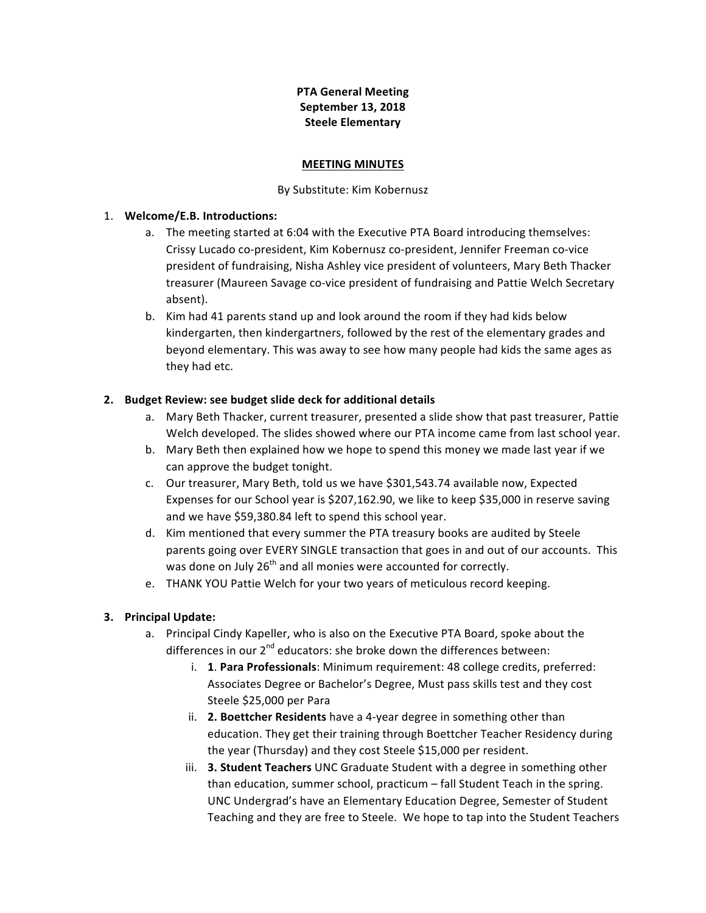## **PTA General Meeting September 13, 2018 Steele Elementary**

#### **MEETING MINUTES**

#### By Substitute: Kim Kobernusz

#### 1. **Welcome/E.B. Introductions:**

- a. The meeting started at 6:04 with the Executive PTA Board introducing themselves: Crissy Lucado co-president, Kim Kobernusz co-president, Jennifer Freeman co-vice president of fundraising, Nisha Ashley vice president of volunteers, Mary Beth Thacker treasurer (Maureen Savage co-vice president of fundraising and Pattie Welch Secretary absent).
- b. Kim had 41 parents stand up and look around the room if they had kids below kindergarten, then kindergartners, followed by the rest of the elementary grades and beyond elementary. This was away to see how many people had kids the same ages as they had etc.

### 2. Budget Review: see budget slide deck for additional details

- a. Mary Beth Thacker, current treasurer, presented a slide show that past treasurer, Pattie Welch developed. The slides showed where our PTA income came from last school year.
- b. Mary Beth then explained how we hope to spend this money we made last year if we can approve the budget tonight.
- c. Our treasurer, Mary Beth, told us we have \$301,543.74 available now, Expected Expenses for our School year is \$207,162.90, we like to keep \$35,000 in reserve saving and we have \$59,380.84 left to spend this school year.
- d. Kim mentioned that every summer the PTA treasury books are audited by Steele parents going over EVERY SINGLE transaction that goes in and out of our accounts. This was done on July 26<sup>th</sup> and all monies were accounted for correctly.
- e. THANK YOU Pattie Welch for your two years of meticulous record keeping.

### **3. Principal Update:**

- a. Principal Cindy Kapeller, who is also on the Executive PTA Board, spoke about the differences in our  $2^{nd}$  educators: she broke down the differences between:
	- i. **1. Para Professionals**: Minimum requirement: 48 college credits, preferred: Associates Degree or Bachelor's Degree, Must pass skills test and they cost Steele \$25,000 per Para
	- ii. **2. Boettcher Residents** have a 4-year degree in something other than education. They get their training through Boettcher Teacher Residency during the year (Thursday) and they cost Steele \$15,000 per resident.
	- iii. **3. Student Teachers** UNC Graduate Student with a degree in something other than education, summer school, practicum – fall Student Teach in the spring. UNC Undergrad's have an Elementary Education Degree, Semester of Student Teaching and they are free to Steele. We hope to tap into the Student Teachers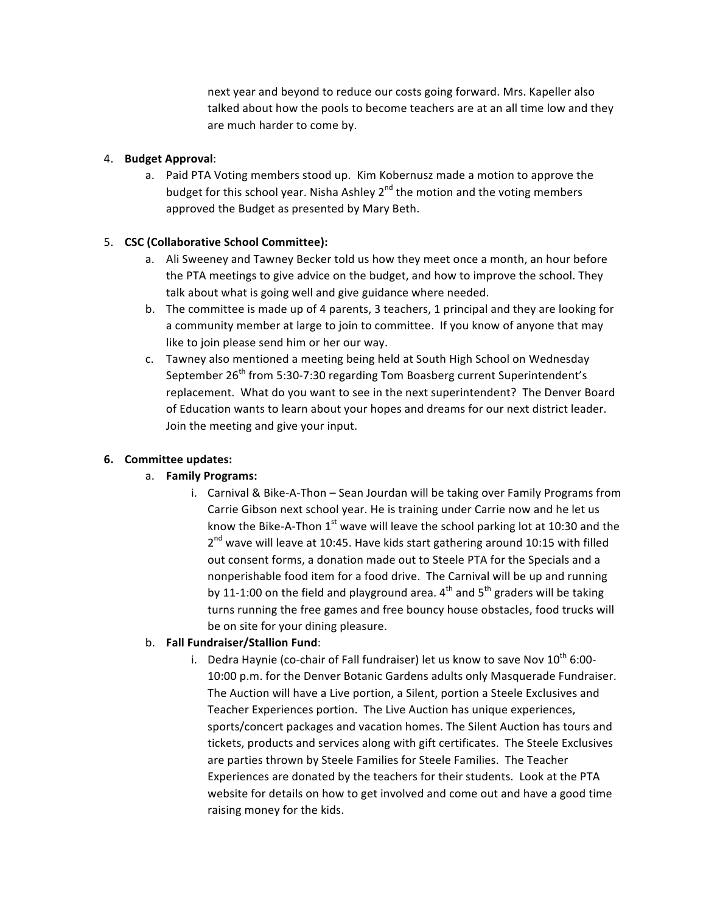next year and beyond to reduce our costs going forward. Mrs. Kapeller also talked about how the pools to become teachers are at an all time low and they are much harder to come by.

### 4. **Budget Approval**:

a. Paid PTA Voting members stood up. Kim Kobernusz made a motion to approve the budget for this school year. Nisha Ashley  $2^{nd}$  the motion and the voting members approved the Budget as presented by Mary Beth.

## 5. **CSC (Collaborative School Committee):**

- a. Ali Sweeney and Tawney Becker told us how they meet once a month, an hour before the PTA meetings to give advice on the budget, and how to improve the school. They talk about what is going well and give guidance where needed.
- b. The committee is made up of 4 parents, 3 teachers, 1 principal and they are looking for a community member at large to join to committee. If you know of anyone that may like to join please send him or her our way.
- c. Tawney also mentioned a meeting being held at South High School on Wednesday September  $26<sup>th</sup>$  from 5:30-7:30 regarding Tom Boasberg current Superintendent's replacement. What do you want to see in the next superintendent? The Denver Board of Education wants to learn about your hopes and dreams for our next district leader. Join the meeting and give your input.

### **6. Committee updates:**

# a. **Family Programs:**

i. Carnival & Bike-A-Thon – Sean Jourdan will be taking over Family Programs from Carrie Gibson next school year. He is training under Carrie now and he let us know the Bike-A-Thon  $1^{st}$  wave will leave the school parking lot at 10:30 and the  $2^{nd}$  wave will leave at 10:45. Have kids start gathering around 10:15 with filled out consent forms, a donation made out to Steele PTA for the Specials and a nonperishable food item for a food drive. The Carnival will be up and running by 11-1:00 on the field and playground area.  $4^{th}$  and  $5^{th}$  graders will be taking turns running the free games and free bouncy house obstacles, food trucks will be on site for your dining pleasure.

# b. **Fall Fundraiser/Stallion Fund:**

i. Dedra Haynie (co-chair of Fall fundraiser) let us know to save Nov  $10^{th}$  6:00-10:00 p.m. for the Denver Botanic Gardens adults only Masquerade Fundraiser. The Auction will have a Live portion, a Silent, portion a Steele Exclusives and Teacher Experiences portion. The Live Auction has unique experiences, sports/concert packages and vacation homes. The Silent Auction has tours and tickets, products and services along with gift certificates. The Steele Exclusives are parties thrown by Steele Families for Steele Families. The Teacher Experiences are donated by the teachers for their students. Look at the PTA website for details on how to get involved and come out and have a good time raising money for the kids.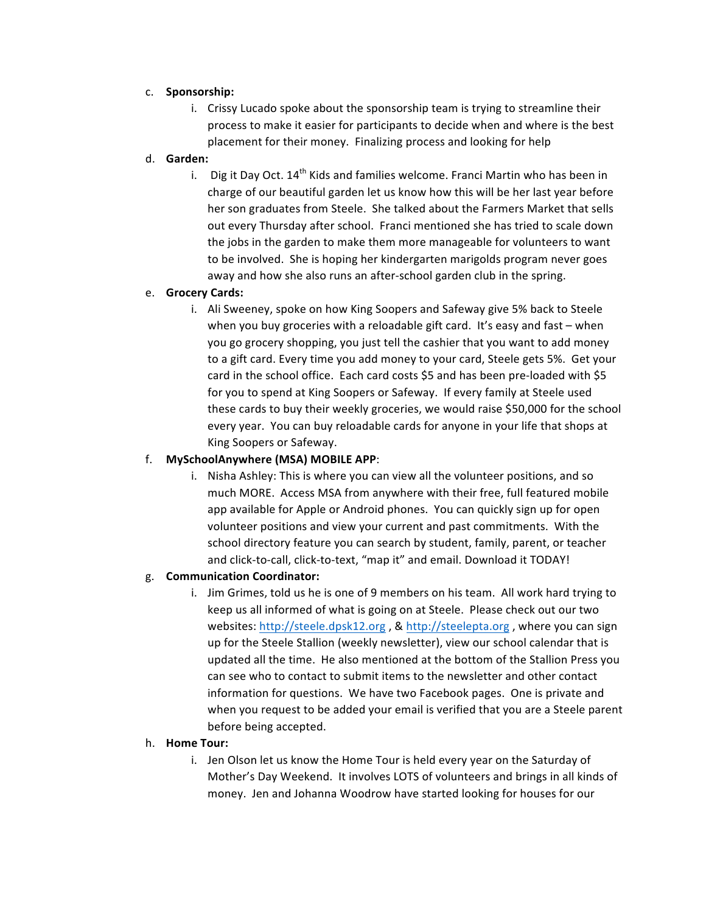### c. **Sponsorship:**

i. Crissy Lucado spoke about the sponsorship team is trying to streamline their process to make it easier for participants to decide when and where is the best placement for their money. Finalizing process and looking for help

## d. **Garden:**

i. Dig it Day Oct.  $14^{th}$  Kids and families welcome. Franci Martin who has been in charge of our beautiful garden let us know how this will be her last year before her son graduates from Steele. She talked about the Farmers Market that sells out every Thursday after school. Franci mentioned she has tried to scale down the jobs in the garden to make them more manageable for volunteers to want to be involved. She is hoping her kindergarten marigolds program never goes away and how she also runs an after-school garden club in the spring.

## e. **Grocery Cards:**

i. Ali Sweeney, spoke on how King Soopers and Safeway give 5% back to Steele when you buy groceries with a reloadable gift card. It's easy and fast  $-$  when you go grocery shopping, you just tell the cashier that you want to add money to a gift card. Every time you add money to your card, Steele gets 5%. Get your card in the school office. Each card costs \$5 and has been pre-loaded with \$5 for you to spend at King Soopers or Safeway. If every family at Steele used these cards to buy their weekly groceries, we would raise \$50,000 for the school every year. You can buy reloadable cards for anyone in your life that shops at King Soopers or Safeway.

# f. **MySchoolAnywhere (MSA) MOBILE APP**:

i. Nisha Ashley: This is where you can view all the volunteer positions, and so much MORE. Access MSA from anywhere with their free, full featured mobile app available for Apple or Android phones. You can quickly sign up for open volunteer positions and view your current and past commitments. With the school directory feature you can search by student, family, parent, or teacher and click-to-call, click-to-text, "map it" and email. Download it TODAY!

# g. **Communication Coordinator:**

i. Jim Grimes, told us he is one of 9 members on his team. All work hard trying to keep us all informed of what is going on at Steele. Please check out our two websites: http://steele.dpsk12.org, & http://steelepta.org, where you can sign up for the Steele Stallion (weekly newsletter), view our school calendar that is updated all the time. He also mentioned at the bottom of the Stallion Press you can see who to contact to submit items to the newsletter and other contact information for questions. We have two Facebook pages. One is private and when you request to be added your email is verified that you are a Steele parent before being accepted.

### h. **Home Tour:**

i. Jen Olson let us know the Home Tour is held every year on the Saturday of Mother's Day Weekend. It involves LOTS of volunteers and brings in all kinds of money. Jen and Johanna Woodrow have started looking for houses for our